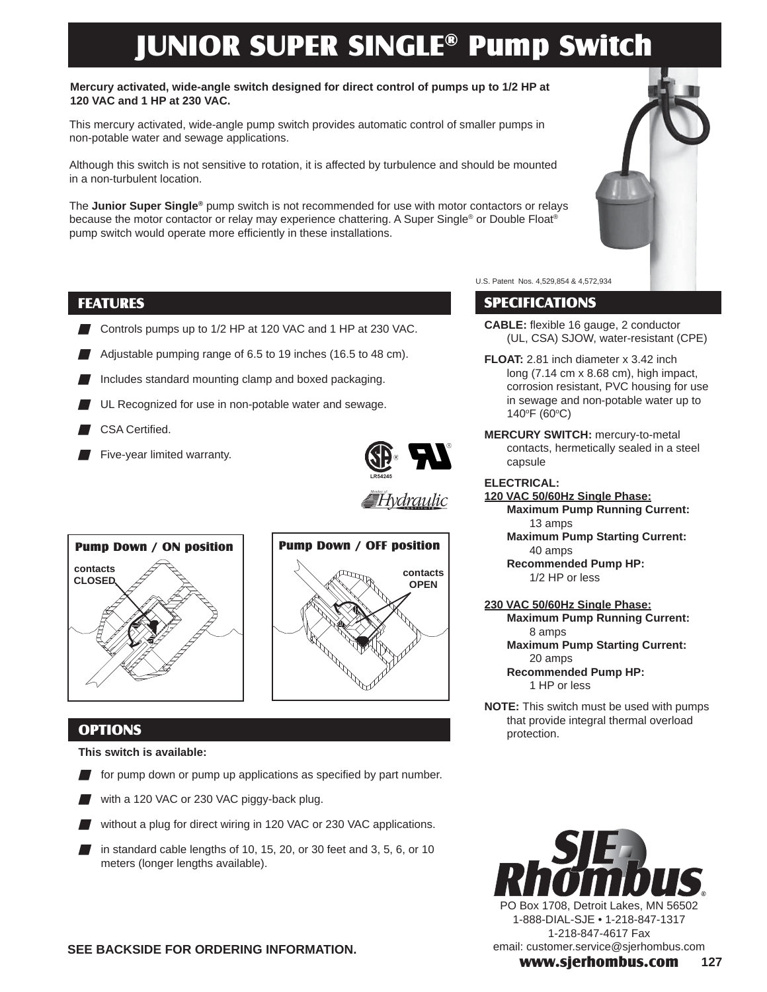## JUNIOR SUPER SINGLE® Pump Switch

### **Mercury activated, wide-angle switch designed for direct control of pumps up to 1/2 HP at 120 VAC and 1 HP at 230 VAC.**

This mercury activated, wide-angle pump switch provides automatic control of smaller pumps in non-potable water and sewage applications.

Although this switch is not sensitive to rotation, it is affected by turbulence and should be mounted in a non-turbulent location.

The **Junior Super Single®** pump switch is not recommended for use with motor contactors or relays because the motor contactor or relay may experience chattering. A Super Single® or Double Float® pump switch would operate more efficiently in these installations.

## FEATURES

- Controls pumps up to 1/2 HP at 120 VAC and 1 HP at 230 VAC.
- Adjustable pumping range of 6.5 to 19 inches (16.5 to 48 cm).
- Includes standard mounting clamp and boxed packaging.
- UL Recognized for use in non-potable water and sewage.
- CSA Certified.
- Five-year limited warranty.



∰Hydraulic





### **OPTIONS**

**This switch is available:**

- $\blacksquare$  for pump down or pump up applications as specified by part number.
- with a 120 VAC or 230 VAC piggy-back plug.
- without a plug for direct wiring in 120 VAC or 230 VAC applications.
- in standard cable lengths of 10, 15, 20, or 30 feet and 3, 5, 6, or 10 meters (longer lengths available).



U.S. Patent Nos. 4,529,854 & 4,572,934

## SPECIFICATIONS

- **CABLE:** flexible 16 gauge, 2 conductor (UL, CSA) SJOW, water-resistant (CPE)
- **FLOAT:** 2.81 inch diameter x 3.42 inch long (7.14 cm x 8.68 cm), high impact, corrosion resistant, PVC housing for use in sewage and non-potable water up to 140°F (60°C)
- **MERCURY SWITCH:** mercury-to-metal contacts, hermetically sealed in a steel capsule

### **ELECTRICAL:**

**120 VAC 50/60Hz Single Phase: Maximum Pump Running Current:**  13 amps

**Maximum Pump Starting Current:**  40 amps

**Recommended Pump HP:**  1/2 HP or less

### **230 VAC 50/60Hz Single Phase:**

**Maximum Pump Running Current:**  8 amps

**Maximum Pump Starting Current:**  20 amps

 **Recommended Pump HP:**  1 HP or less

**NOTE:** This switch must be used with pumps that provide integral thermal overload protection.